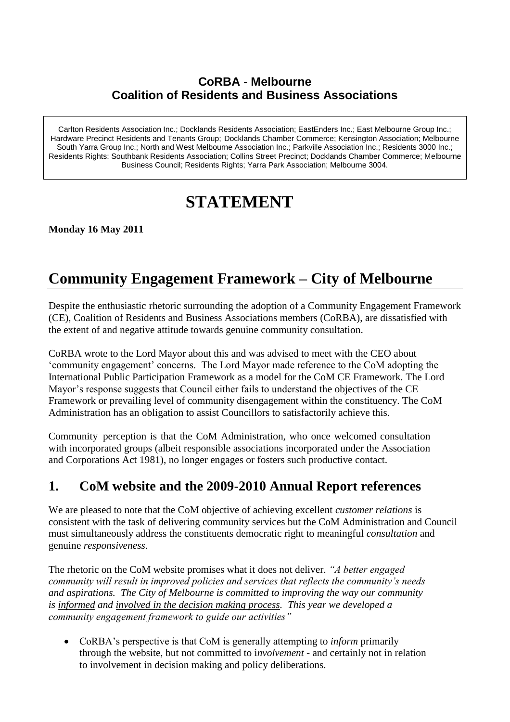#### **CoRBA - Melbourne Coalition of Residents and Business Associations**

Carlton Residents Association Inc.; Docklands Residents Association; EastEnders Inc.; East Melbourne Group Inc.; Hardware Precinct Residents and Tenants Group; Docklands Chamber Commerce; Kensington Association; Melbourne South Yarra Group Inc.; North and West Melbourne Association Inc.; Parkville Association Inc.; Residents 3000 Inc.; Residents Rights: Southbank Residents Association; Collins Street Precinct; Docklands Chamber Commerce; Melbourne Business Council; Residents Rights; Yarra Park Association; Melbourne 3004.

# **STATEMENT**

**Monday 16 May 2011**

## **Community Engagement Framework – City of Melbourne**

Despite the enthusiastic rhetoric surrounding the adoption of a Community Engagement Framework (CE), Coalition of Residents and Business Associations members (CoRBA), are dissatisfied with the extent of and negative attitude towards genuine community consultation.

CoRBA wrote to the Lord Mayor about this and was advised to meet with the CEO about 'community engagement' concerns. The Lord Mayor made reference to the CoM adopting the International Public Participation Framework as a model for the CoM CE Framework. The Lord Mayor's response suggests that Council either fails to understand the objectives of the CE Framework or prevailing level of community disengagement within the constituency. The CoM Administration has an obligation to assist Councillors to satisfactorily achieve this.

Community perception is that the CoM Administration, who once welcomed consultation with incorporated groups (albeit responsible associations incorporated under the Association and Corporations Act 1981), no longer engages or fosters such productive contact.

### **1. CoM website and the 2009-2010 Annual Report references**

We are pleased to note that the CoM objective of achieving excellent *customer relations* is consistent with the task of delivering community services but the CoM Administration and Council must simultaneously address the constituents democratic right to meaningful *consultation* and genuine *responsiveness.*

The rhetoric on the CoM website promises what it does not deliver. *"A better engaged community will result in improved policies and services that reflects the community's needs and aspirations. The City of Melbourne is committed to improving the way our community is informed and involved in the decision making process. This year we developed a community engagement framework to guide our activities"* 

 CoRBA's perspective is that CoM is generally attempting to *inform* primarily through the website, but not committed to i*nvolvement* - and certainly not in relation to involvement in decision making and policy deliberations.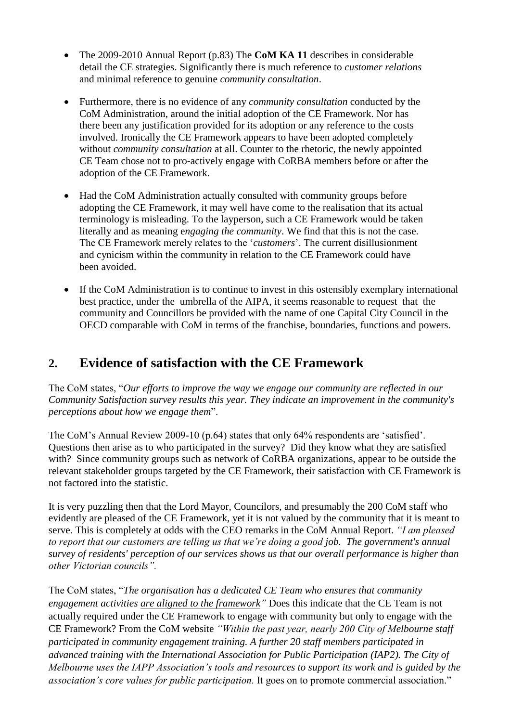- The 2009-2010 Annual Report (p.83) The **CoM KA 11** describes in considerable detail the CE strategies. Significantly there is much reference to *customer relations* and minimal reference to genuine *community consultation*.
- Furthermore, there is no evidence of any *community consultation* conducted by the CoM Administration, around the initial adoption of the CE Framework. Nor has there been any justification provided for its adoption or any reference to the costs involved. Ironically the CE Framework appears to have been adopted completely without *community consultation* at all. Counter to the rhetoric, the newly appointed CE Team chose not to pro-actively engage with CoRBA members before or after the adoption of the CE Framework.
- Had the CoM Administration actually consulted with community groups before adopting the CE Framework, it may well have come to the realisation that its actual terminology is misleading. To the layperson, such a CE Framework would be taken literally and as meaning e*ngaging the community*. We find that this is not the case. The CE Framework merely relates to the '*customers*'. The current disillusionment and cynicism within the community in relation to the CE Framework could have been avoided.
- If the CoM Administration is to continue to invest in this ostensibly exemplary international best practice, under the umbrella of the AIPA, it seems reasonable to request that the community and Councillors be provided with the name of one Capital City Council in the OECD comparable with CoM in terms of the franchise, boundaries, functions and powers.

### **2. Evidence of satisfaction with the CE Framework**

The CoM states, "*Our efforts to improve the way we engage our community are reflected in our Community Satisfaction survey results this year. They indicate an improvement in the community's perceptions about how we engage them*".

The CoM's Annual Review 2009-10 (p.64) states that only 64% respondents are 'satisfied'. Questions then arise as to who participated in the survey? Did they know what they are satisfied with? Since community groups such as network of CoRBA organizations, appear to be outside the relevant stakeholder groups targeted by the CE Framework, their satisfaction with CE Framework is not factored into the statistic.

It is very puzzling then that the Lord Mayor, Councilors, and presumably the 200 CoM staff who evidently are pleased of the CE Framework, yet it is not valued by the community that it is meant to serve. This is completely at odds with the CEO remarks in the CoM Annual Report. *"I am pleased to report that our customers are telling us that we're doing a good job. The government's annual survey of residents' perception of our services shows us that our overall performance is higher than other Victorian councils".*

The CoM states, "*The organisation has a dedicated CE Team who ensures that community engagement activities are aligned to the framework"* Does this indicate that the CE Team is not actually required under the CE Framework to engage with community but only to engage with the CE Framework? From the CoM website *"Within the past year, nearly 200 City of Melbourne staff participated in community engagement training. A further 20 staff members participated in advanced training with the International Association for Public Participation (IAP2). The City of Melbourne uses the IAPP Association's tools and resources to support its work and is guided by the association's core values for public participation.* It goes on to promote commercial association."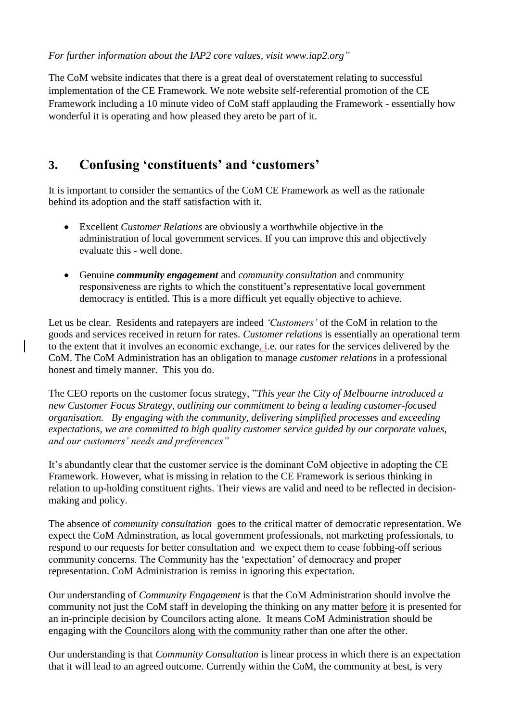*For further information about the IAP2 core values, visit [www.iap2.org"](http://www.iap2.org/)*

The CoM website indicates that there is a great deal of overstatement relating to successful implementation of the CE Framework. We note website self-referential promotion of the CE Framework including a 10 minute video of CoM staff applauding the Framework - essentially how wonderful it is operating and how pleased they areto be part of it.

### **3. Confusing 'constituents' and 'customers'**

It is important to consider the semantics of the CoM CE Framework as well as the rationale behind its adoption and the staff satisfaction with it.

- Excellent *Customer Relations* are obviously a worthwhile objective in the administration of local government services. If you can improve this and objectively evaluate this - well done.
- Genuine *community engagement* and *community consultation* and community responsiveness are rights to which the constituent's representative local government democracy is entitled. This is a more difficult yet equally objective to achieve.

Let us be clear. Residents and ratepayers are indeed *'Customers'* of the CoM in relation to the goods and services received in return for rates. *Customer relations* is essentially an operational term to the extent that it involves an economic exchange, i.e. our rates for the services delivered by the CoM. The CoM Administration has an obligation to manage *customer relations* in a professional honest and timely manner. This you do.

The CEO reports on the customer focus strategy, "*This year the City of Melbourne introduced a new Customer Focus Strategy, outlining our commitment to being a leading customer-focused organisation. By engaging with the community, delivering simplified processes and exceeding expectations, we are committed to high quality customer service guided by our corporate values, and our customers' needs and preferences"*

It's abundantly clear that the customer service is the dominant CoM objective in adopting the CE Framework. However, what is missing in relation to the CE Framework is serious thinking in relation to up-holding constituent rights. Their views are valid and need to be reflected in decisionmaking and policy.

The absence of *community consultation* goes to the critical matter of democratic representation. We expect the CoM Adminstration, as local government professionals, not marketing professionals, to respond to our requests for better consultation and we expect them to cease fobbing-off serious community concerns. The Community has the 'expectation' of democracy and proper representation. CoM Administration is remiss in ignoring this expectation.

Our understanding of *Community Engagement* is that the CoM Administration should involve the community not just the CoM staff in developing the thinking on any matter before it is presented for an in-principle decision by Councilors acting alone. It means CoM Administration should be engaging with the Councilors along with the community rather than one after the other.

Our understanding is that *Community Consultation* is linear process in which there is an expectation that it will lead to an agreed outcome. Currently within the CoM, the community at best, is very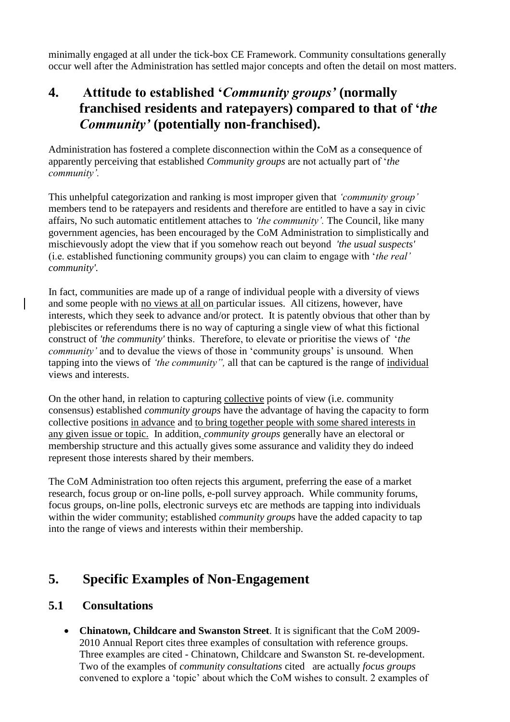minimally engaged at all under the tick-box CE Framework. Community consultations generally occur well after the Administration has settled major concepts and often the detail on most matters.

### **4. Attitude to established '***Community groups'* **(normally franchised residents and ratepayers) compared to that of '***the Community'* **(potentially non-franchised).**

Administration has fostered a complete disconnection within the CoM as a consequence of apparently perceiving that established *Community groups* are not actually part of '*the community'.* 

This unhelpful categorization and ranking is most improper given that *'community group'*  members tend to be ratepayers and residents and therefore are entitled to have a say in civic affairs, No such automatic entitlement attaches to *'the community'.* The Council, like many government agencies, has been encouraged by the CoM Administration to simplistically and mischievously adopt the view that if you somehow reach out beyond *'the usual suspects'* (i.e. established functioning community groups) you can claim to engage with '*the real' community'.*

In fact, communities are made up of a range of individual people with a diversity of views and some people with no views at all on particular issues. All citizens, however, have interests, which they seek to advance and/or protect. It is patently obvious that other than by plebiscites or referendums there is no way of capturing a single view of what this fictional construct of *'the community'* thinks. Therefore, to elevate or prioritise the views of '*the community'* and to devalue the views of those in 'community groups' is unsound. When tapping into the views of *'the community",* all that can be captured is the range of individual views and interests.

On the other hand, in relation to capturing collective points of view (i.e. community consensus) established *community groups* have the advantage of having the capacity to form collective positions in advance and to bring together people with some shared interests in any given issue or topic. In addition, *community groups* generally have an electoral or membership structure and this actually gives some assurance and validity they do indeed represent those interests shared by their members.

The CoM Administration too often rejects this argument, preferring the ease of a market research, focus group or on-line polls, e-poll survey approach. While community forums, focus groups, on-line polls, electronic surveys etc are methods are tapping into individuals within the wider community; established *community group*s have the added capacity to tap into the range of views and interests within their membership.

### **5. Specific Examples of Non-Engagement**

#### **5.1 Consultations**

 **Chinatown, Childcare and Swanston Street**. It is significant that the CoM 2009- 2010 Annual Report cites three examples of consultation with reference groups. Three examples are cited - Chinatown, Childcare and Swanston St. re-development. Two of the examples of *community consultations* cited are actually *focus groups* convened to explore a 'topic' about which the CoM wishes to consult. 2 examples of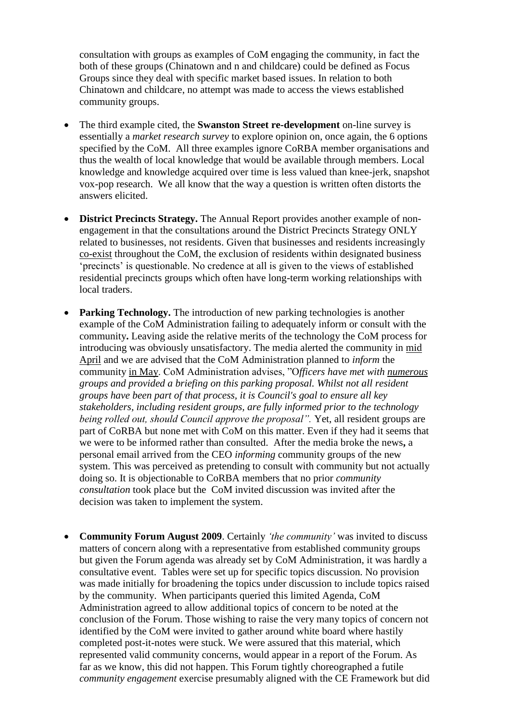consultation with groups as examples of CoM engaging the community, in fact the both of these groups (Chinatown and n and childcare) could be defined as Focus Groups since they deal with specific market based issues. In relation to both Chinatown and childcare, no attempt was made to access the views established community groups.

- The third example cited, the **Swanston Street re-development** on-line survey is essentially a *market research survey* to explore opinion on, once again, the 6 options specified by the CoM. All three examples ignore CoRBA member organisations and thus the wealth of local knowledge that would be available through members. Local knowledge and knowledge acquired over time is less valued than knee-jerk, snapshot vox-pop research. We all know that the way a question is written often distorts the answers elicited.
- **District Precincts Strategy.** The Annual Report provides another example of nonengagement in that the consultations around the District Precincts Strategy ONLY related to businesses, not residents. Given that businesses and residents increasingly co-exist throughout the CoM, the exclusion of residents within designated business 'precincts' is questionable. No credence at all is given to the views of established residential precincts groups which often have long-term working relationships with local traders.
- **Parking Technology.** The introduction of new parking technologies is another example of the CoM Administration failing to adequately inform or consult with the community**.** Leaving aside the relative merits of the technology the CoM process for introducing was obviously unsatisfactory. The media alerted the community in mid April and we are advised that the CoM Administration planned to *inform* the community in May. CoM Administration advises, "O*fficers have met with numerous groups and provided a briefing on this parking proposal. Whilst not all resident groups have been part of that process, it is Council's goal to ensure all key stakeholders, including resident groups, are fully informed prior to the technology being rolled out, should Council approve the proposal".* Yet, all resident groups are part of CoRBA but none met with CoM on this matter. Even if they had it seems that we were to be informed rather than consulted. After the media broke the news**,** a personal email arrived from the CEO *informing* community groups of the new system. This was perceived as pretending to consult with community but not actually doing so. It is objectionable to CoRBA members that no prior *community consultation* took place but the CoM invited discussion was invited after the decision was taken to implement the system.
- **Community Forum August 2009**. Certainly *'the community'* was invited to discuss matters of concern along with a representative from established community groups but given the Forum agenda was already set by CoM Administration, it was hardly a consultative event. Tables were set up for specific topics discussion. No provision was made initially for broadening the topics under discussion to include topics raised by the community. When participants queried this limited Agenda, CoM Administration agreed to allow additional topics of concern to be noted at the conclusion of the Forum. Those wishing to raise the very many topics of concern not identified by the CoM were invited to gather around white board where hastily completed post-it-notes were stuck. We were assured that this material, which represented valid community concerns, would appear in a report of the Forum. As far as we know, this did not happen. This Forum tightly choreographed a futile *community engagement* exercise presumably aligned with the CE Framework but did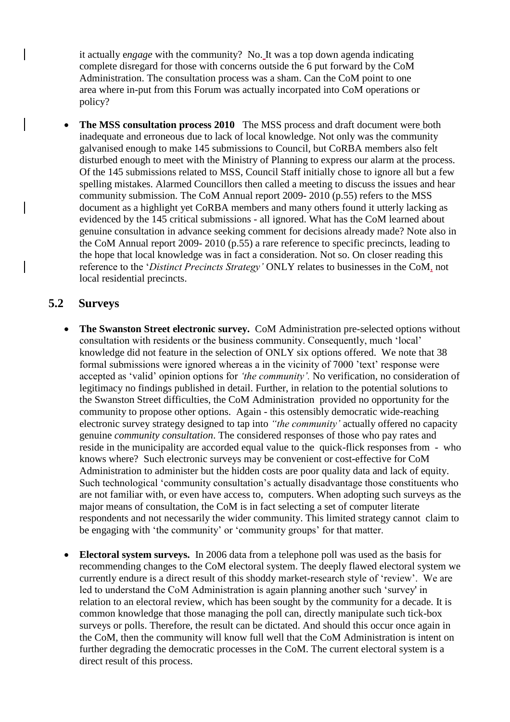it actually e*ngage* with the community? No. It was a top down agenda indicating complete disregard for those with concerns outside the 6 put forward by the CoM Administration. The consultation process was a sham. Can the CoM point to one area where in-put from this Forum was actually incorpated into CoM operations or policy?

• The MSS consultation process 2010 The MSS process and draft document were both inadequate and erroneous due to lack of local knowledge. Not only was the community galvanised enough to make 145 submissions to Council, but CoRBA members also felt disturbed enough to meet with the Ministry of Planning to express our alarm at the process. Of the 145 submissions related to MSS, Council Staff initially chose to ignore all but a few spelling mistakes. Alarmed Councillors then called a meeting to discuss the issues and hear community submission. The CoM Annual report 2009- 2010 (p.55) refers to the MSS document as a highlight yet CoRBA members and many others found it utterly lacking as evidenced by the 145 critical submissions - all ignored. What has the CoM learned about genuine consultation in advance seeking comment for decisions already made? Note also in the CoM Annual report 2009- 2010 (p.55) a rare reference to specific precincts, leading to the hope that local knowledge was in fact a consideration. Not so. On closer reading this reference to the '*Distinct Precincts Strategy'* ONLY relates to businesses in the CoM, not local residential precincts.

#### **5.2 Surveys**

- **The Swanston Street electronic survey.** CoM Administration pre-selected options without consultation with residents or the business community. Consequently, much 'local' knowledge did not feature in the selection of ONLY six options offered. We note that 38 formal submissions were ignored whereas a in the vicinity of 7000 'text' response were accepted as 'valid' opinion options for *'the community'.* No verification, no consideration of legitimacy no findings published in detail. Further, in relation to the potential solutions to the Swanston Street difficulties, the CoM Administration provided no opportunity for the community to propose other options. Again - this ostensibly democratic wide-reaching electronic survey strategy designed to tap into *"the community'* actually offered no capacity genuine *community consultation*. The considered responses of those who pay rates and reside in the municipality are accorded equal value to the quick-flick responses from - who knows where? Such electronic surveys may be convenient or cost-effective for CoM Administration to administer but the hidden costs are poor quality data and lack of equity. Such technological 'community consultation's actually disadvantage those constituents who are not familiar with, or even have access to, computers. When adopting such surveys as the major means of consultation, the CoM is in fact selecting a set of computer literate respondents and not necessarily the wider community. This limited strategy cannot claim to be engaging with 'the community' or 'community groups' for that matter.
- **Electoral system surveys.** In 2006 data from a telephone poll was used as the basis for recommending changes to the CoM electoral system. The deeply flawed electoral system we currently endure is a direct result of this shoddy market-research style of 'review'. We are led to understand the CoM Administration is again planning another such 'survey' in relation to an electoral review, which has been sought by the community for a decade. It is common knowledge that those managing the poll can, directly manipulate such tick-box surveys or polls. Therefore, the result can be dictated. And should this occur once again in the CoM, then the community will know full well that the CoM Administration is intent on further degrading the democratic processes in the CoM. The current electoral system is a direct result of this process.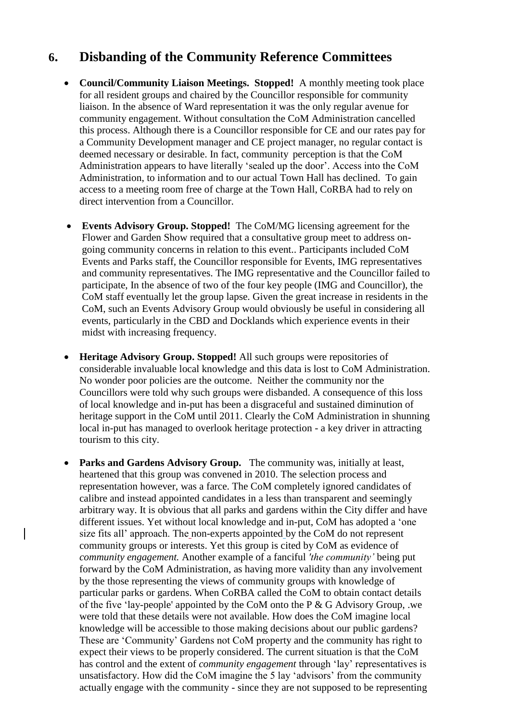#### **6. Disbanding of the Community Reference Committees**

- **Council/Community Liaison Meetings. Stopped!** A monthly meeting took place for all resident groups and chaired by the Councillor responsible for community liaison. In the absence of Ward representation it was the only regular avenue for community engagement. Without consultation the CoM Administration cancelled this process. Although there is a Councillor responsible for CE and our rates pay for a Community Development manager and CE project manager, no regular contact is deemed necessary or desirable. In fact, community perception is that the CoM Administration appears to have literally 'sealed up the door'. Access into the CoM Administration, to information and to our actual Town Hall has declined. To gain access to a meeting room free of charge at the Town Hall, CoRBA had to rely on direct intervention from a Councillor.
- **Events Advisory Group. Stopped!** The CoM/MG licensing agreement for the Flower and Garden Show required that a consultative group meet to address ongoing community concerns in relation to this event.. Participants included CoM Events and Parks staff, the Councillor responsible for Events, IMG representatives and community representatives. The IMG representative and the Councillor failed to participate, In the absence of two of the four key people (IMG and Councillor), the CoM staff eventually let the group lapse. Given the great increase in residents in the CoM, such an Events Advisory Group would obviously be useful in considering all events, particularly in the CBD and Docklands which experience events in their midst with increasing frequency.
- **Heritage Advisory Group. Stopped!** All such groups were repositories of considerable invaluable local knowledge and this data is lost to CoM Administration. No wonder poor policies are the outcome. Neither the community nor the Councillors were told why such groups were disbanded. A consequence of this loss of local knowledge and in-put has been a disgraceful and sustained diminution of heritage support in the CoM until 2011. Clearly the CoM Administration in shunning local in-put has managed to overlook heritage protection - a key driver in attracting tourism to this city.
- Parks and Gardens Advisory Group. The community was, initially at least, heartened that this group was convened in 2010. The selection process and representation however, was a farce. The CoM completely ignored candidates of calibre and instead appointed candidates in a less than transparent and seemingly arbitrary way. It is obvious that all parks and gardens within the City differ and have different issues. Yet without local knowledge and in-put, CoM has adopted a 'one size fits all' approach. The non-experts appointed by the CoM do not represent community groups or interests. Yet this group is cited by CoM as evidence of *community engagement.* Another example of a fanciful *'the community'* being put forward by the CoM Administration, as having more validity than any involvement by the those representing the views of community groups with knowledge of particular parks or gardens. When CoRBA called the CoM to obtain contact details of the five 'lay-people' appointed by the CoM onto the P & G Advisory Group, .we were told that these details were not available. How does the CoM imagine local knowledge will be accessible to those making decisions about our public gardens? These are 'Community' Gardens not CoM property and the community has right to expect their views to be properly considered. The current situation is that the CoM has control and the extent of *community engagement* through 'lay' representatives is unsatisfactory. How did the CoM imagine the 5 lay 'advisors' from the community actually engage with the community - since they are not supposed to be representing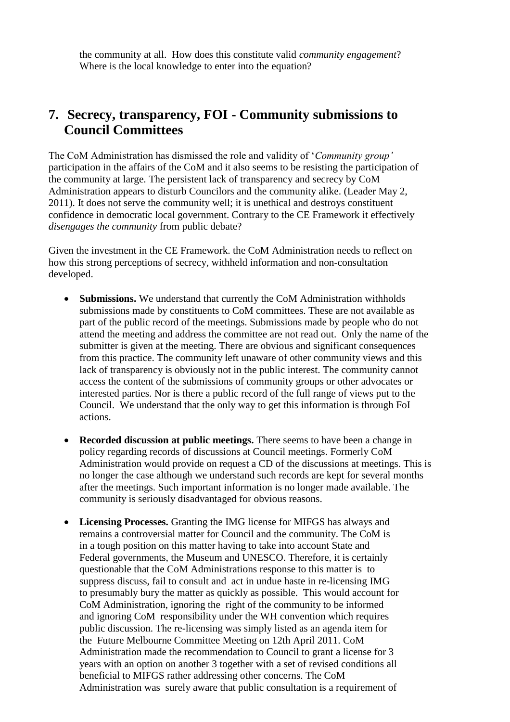the community at all. How does this constitute valid *community engagement*? Where is the local knowledge to enter into the equation?

#### **7. Secrecy, transparency, FOI - Community submissions to Council Committees**

The CoM Administration has dismissed the role and validity of '*Community group'* participation in the affairs of the CoM and it also seems to be resisting the participation of the community at large. The persistent lack of transparency and secrecy by CoM Administration appears to disturb Councilors and the community alike. (Leader May 2, 2011). It does not serve the community well; it is unethical and destroys constituent confidence in democratic local government. Contrary to the CE Framework it effectively *disengages the community* from public debate?

Given the investment in the CE Framework. the CoM Administration needs to reflect on how this strong perceptions of secrecy, withheld information and non-consultation developed.

- **Submissions.** We understand that currently the CoM Administration withholds submissions made by constituents to CoM committees. These are not available as part of the public record of the meetings. Submissions made by people who do not attend the meeting and address the committee are not read out. Only the name of the submitter is given at the meeting. There are obvious and significant consequences from this practice. The community left unaware of other community views and this lack of transparency is obviously not in the public interest. The community cannot access the content of the submissions of community groups or other advocates or interested parties. Nor is there a public record of the full range of views put to the Council. We understand that the only way to get this information is through FoI actions.
- **Recorded discussion at public meetings.** There seems to have been a change in policy regarding records of discussions at Council meetings. Formerly CoM Administration would provide on request a CD of the discussions at meetings. This is no longer the case although we understand such records are kept for several months after the meetings. Such important information is no longer made available. The community is seriously disadvantaged for obvious reasons.
- **Licensing Processes.** Granting the IMG license for MIFGS has always and remains a controversial matter for Council and the community. The CoM is in a tough position on this matter having to take into account State and Federal governments, the Museum and UNESCO. Therefore, it is certainly questionable that the CoM Administrations response to this matter is to suppress discuss, fail to consult and act in undue haste in re-licensing IMG to presumably bury the matter as quickly as possible. This would account for CoM Administration, ignoring the right of the community to be informed and ignoring CoM responsibility under the WH convention which requires public discussion. The re-licensing was simply listed as an agenda item for the Future Melbourne Committee Meeting on 12th April 2011. CoM Administration made the recommendation to Council to grant a license for 3 years with an option on another 3 together with a set of revised conditions all beneficial to MIFGS rather addressing other concerns. The CoM Administration was surely aware that public consultation is a requirement of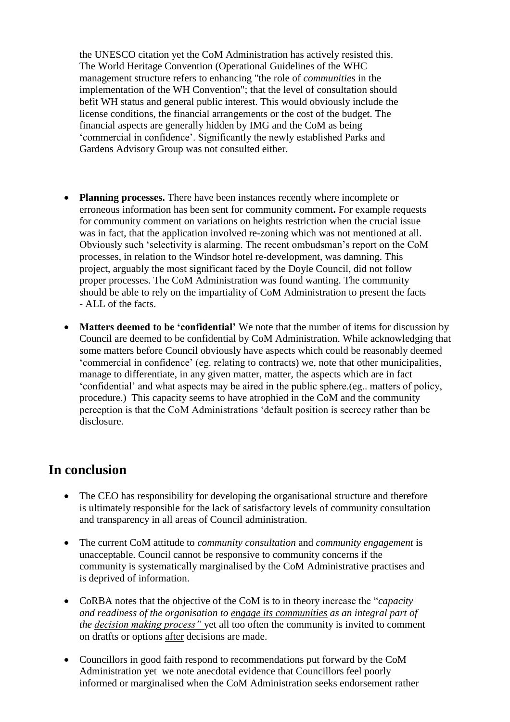the UNESCO citation yet the CoM Administration has actively resisted this. The World Heritage Convention (Operational Guidelines of the WHC management structure refers to enhancing "the role of *communitie*s in the implementation of the WH Convention"; that the level of consultation should befit WH status and general public interest. This would obviously include the license conditions, the financial arrangements or the cost of the budget. The financial aspects are generally hidden by IMG and the CoM as being 'commercial in confidence'. Significantly the newly established Parks and Gardens Advisory Group was not consulted either.

- **Planning processes.** There have been instances recently where incomplete or erroneous information has been sent for community comment**.** For example requests for community comment on variations on heights restriction when the crucial issue was in fact, that the application involved re-zoning which was not mentioned at all. Obviously such 'selectivity is alarming. The recent ombudsman's report on the CoM processes, in relation to the Windsor hotel re-development, was damning. This project, arguably the most significant faced by the Doyle Council, did not follow proper processes. The CoM Administration was found wanting. The community should be able to rely on the impartiality of CoM Administration to present the facts - ALL of the facts.
- **Matters deemed to be 'confidential'** We note that the number of items for discussion by Council are deemed to be confidential by CoM Administration. While acknowledging that some matters before Council obviously have aspects which could be reasonably deemed 'commercial in confidence' (eg. relating to contracts) we, note that other municipalities, manage to differentiate, in any given matter, matter, the aspects which are in fact 'confidential' and what aspects may be aired in the public sphere.(eg.. matters of policy, procedure.) This capacity seems to have atrophied in the CoM and the community perception is that the CoM Administrations 'default position is secrecy rather than be disclosure.

#### **In conclusion**

- The CEO has responsibility for developing the organisational structure and therefore is ultimately responsible for the lack of satisfactory levels of community consultation and transparency in all areas of Council administration.
- The current CoM attitude to *community consultation* and *community engagement* is unacceptable. Council cannot be responsive to community concerns if the community is systematically marginalised by the CoM Administrative practises and is deprived of information.
- CoRBA notes that the objective of the CoM is to in theory increase the "*capacity and readiness of the organisation to engage its communities as an integral part of the decision making process"* yet all too often the community is invited to comment on dratfts or options after decisions are made.
- Councillors in good faith respond to recommendations put forward by the CoM Administration yet we note anecdotal evidence that Councillors feel poorly informed or marginalised when the CoM Administration seeks endorsement rather